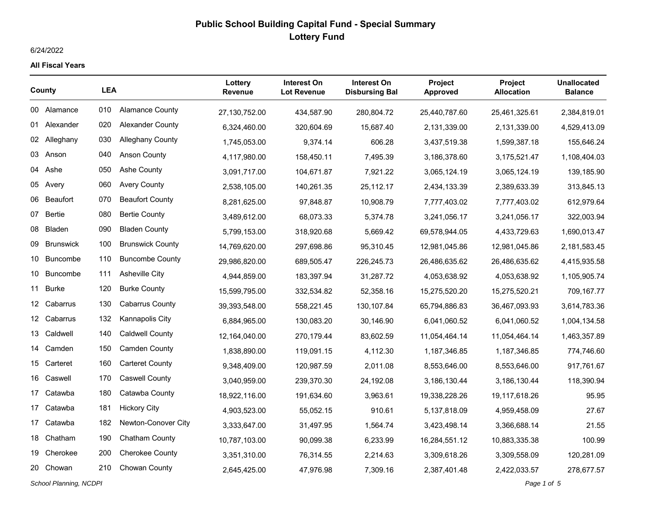### 6/24/2022

#### **All Fiscal Years**

| County |                  | <b>LEA</b> |                         | Lottery<br><b>Revenue</b> | Interest On<br><b>Lot Revenue</b> | <b>Interest On</b><br><b>Disbursing Bal</b> | <b>Project</b><br><b>Approved</b> | <b>Project</b><br><b>Allocation</b> | <b>Unallocated</b><br><b>Balance</b> |
|--------|------------------|------------|-------------------------|---------------------------|-----------------------------------|---------------------------------------------|-----------------------------------|-------------------------------------|--------------------------------------|
|        | 00 Alamance      | 010        | <b>Alamance County</b>  | 27,130,752.00             | 434,587.90                        | 280,804.72                                  | 25,440,787.60                     | 25,461,325.61                       | 2,384,819.01                         |
|        | 01 Alexander     | 020        | Alexander County        | 6,324,460.00              | 320,604.69                        | 15,687.40                                   | 2,131,339.00                      | 2,131,339.00                        | 4,529,413.09                         |
|        | 02 Alleghany     | 030        | <b>Alleghany County</b> | 1,745,053.00              | 9,374.14                          | 606.28                                      | 3,437,519.38                      | 1,599,387.18                        | 155,646.24                           |
| 03     | Anson            | 040        | <b>Anson County</b>     | 4,117,980.00              | 158,450.11                        | 7.495.39                                    | 3,186,378.60                      | 3,175,521.47                        | 1,108,404.03                         |
|        | 04 Ashe          | 050        | <b>Ashe County</b>      | 3,091,717.00              | 104,671.87                        | 7,921.22                                    | 3,065,124.19                      | 3,065,124.19                        | 139,185.90                           |
|        | 05 Avery         | 060        | <b>Avery County</b>     | 2,538,105.00              | 140,261.35                        | 25,112.17                                   | 2,434,133.39                      | 2,389,633.39                        | 313,845.13                           |
|        | 06 Beaufort      | 070        | <b>Beaufort County</b>  | 8,281,625.00              | 97,848.87                         | 10,908.79                                   | 7,777,403.02                      | 7,777,403.02                        | 612,979.64                           |
| 07     | Bertie           | 080        | <b>Bertie County</b>    | 3,489,612.00              | 68,073.33                         | 5,374.78                                    | 3,241,056.17                      | 3,241,056.17                        | 322,003.94                           |
| 08     | <b>Bladen</b>    | 090        | <b>Bladen County</b>    | 5,799,153.00              | 318,920.68                        | 5,669.42                                    | 69,578,944.05                     | 4,433,729.63                        | 1,690,013.47                         |
| 09     | <b>Brunswick</b> | 100        | <b>Brunswick County</b> | 14,769,620.00             | 297,698.86                        | 95,310.45                                   | 12,981,045.86                     | 12,981,045.86                       | 2,181,583.45                         |
| 10     | <b>Buncombe</b>  | 110        | <b>Buncombe County</b>  | 29,986,820.00             | 689,505.47                        | 226,245.73                                  | 26,486,635.62                     | 26,486,635.62                       | 4,415,935.58                         |
| 10     | <b>Buncombe</b>  | 111        | <b>Asheville City</b>   | 4,944,859.00              | 183,397.94                        | 31,287.72                                   | 4,053,638.92                      | 4,053,638.92                        | 1,105,905.74                         |
| 11     | <b>Burke</b>     | 120        | <b>Burke County</b>     | 15,599,795.00             | 332,534.82                        | 52,358.16                                   | 15,275,520.20                     | 15,275,520.21                       | 709,167.77                           |
|        | 12 Cabarrus      | 130        | <b>Cabarrus County</b>  | 39,393,548.00             | 558,221.45                        | 130,107.84                                  | 65,794,886.83                     | 36,467,093.93                       | 3,614,783.36                         |
|        | 12 Cabarrus      | 132        | Kannapolis City         | 6,884,965.00              | 130,083.20                        | 30,146.90                                   | 6,041,060.52                      | 6,041,060.52                        | 1,004,134.58                         |
| 13     | Caldwell         | 140        | <b>Caldwell County</b>  | 12,164,040.00             | 270,179.44                        | 83,602.59                                   | 11,054,464.14                     | 11,054,464.14                       | 1,463,357.89                         |
| 14     | Camden           | 150        | <b>Camden County</b>    | 1,838,890.00              | 119,091.15                        | 4,112.30                                    | 1,187,346.85                      | 1,187,346.85                        | 774,746.60                           |
|        | 15 Carteret      | 160        | <b>Carteret County</b>  | 9,348,409.00              | 120,987.59                        | 2,011.08                                    | 8,553,646.00                      | 8,553,646.00                        | 917,761.67                           |
|        | 16 Caswell       | 170        | <b>Caswell County</b>   | 3,040,959.00              | 239,370.30                        | 24,192.08                                   | 3,186,130.44                      | 3,186,130.44                        | 118,390.94                           |
| 17     | Catawba          | 180        | Catawba County          | 18,922,116.00             | 191,634.60                        | 3.963.61                                    | 19,338,228.26                     | 19,117,618.26                       | 95.95                                |
| 17     | Catawba          | 181        | <b>Hickory City</b>     | 4,903,523.00              | 55,052.15                         | 910.61                                      | 5,137,818.09                      | 4,959,458.09                        | 27.67                                |
|        | 17 Catawba       | 182        | Newton-Conover City     | 3,333,647.00              | 31,497.95                         | 1,564.74                                    | 3,423,498.14                      | 3,366,688.14                        | 21.55                                |
|        | 18 Chatham       | 190        | <b>Chatham County</b>   | 10,787,103.00             | 90,099.38                         | 6,233.99                                    | 16,284,551.12                     | 10,883,335.38                       | 100.99                               |
| 19     | Cherokee         | 200        | <b>Cherokee County</b>  | 3,351,310.00              | 76,314.55                         | 2,214.63                                    | 3,309,618.26                      | 3,309,558.09                        | 120,281.09                           |
|        | 20 Chowan        | 210        | Chowan County           | 2,645,425.00              | 47,976.98                         | 7,309.16                                    | 2,387,401.48                      | 2,422,033.57                        | 278,677.57                           |

*School Planning, NCDPI Page 1 of 5*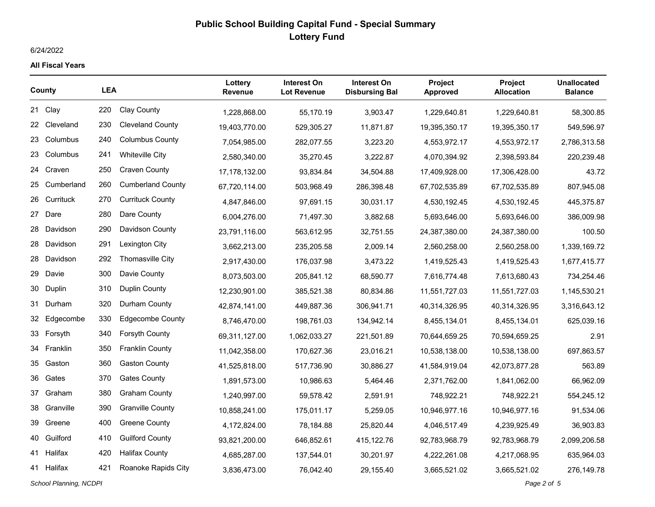## 6/24/2022

#### **All Fiscal Years**

| County |              | <b>LEA</b> |                          | Lottery<br><b>Revenue</b> | <b>Interest On</b><br><b>Lot Revenue</b> | Interest On<br><b>Disbursing Bal</b> | <b>Project</b><br><b>Approved</b> | <b>Project</b><br><b>Allocation</b> | <b>Unallocated</b><br><b>Balance</b> |
|--------|--------------|------------|--------------------------|---------------------------|------------------------------------------|--------------------------------------|-----------------------------------|-------------------------------------|--------------------------------------|
|        | 21 Clay      | 220        | <b>Clay County</b>       | 1,228,868.00              | 55,170.19                                | 3,903.47                             | 1,229,640.81                      | 1,229,640.81                        | 58,300.85                            |
|        | 22 Cleveland | 230        | <b>Cleveland County</b>  | 19,403,770.00             | 529,305.27                               | 11,871.87                            | 19,395,350.17                     | 19,395,350.17                       | 549,596.97                           |
| 23     | Columbus     | 240        | <b>Columbus County</b>   | 7,054,985.00              | 282,077.55                               | 3,223.20                             | 4,553,972.17                      | 4,553,972.17                        | 2,786,313.58                         |
| 23     | Columbus     | 241        | <b>Whiteville City</b>   | 2,580,340.00              | 35,270.45                                | 3,222.87                             | 4,070,394.92                      | 2,398,593.84                        | 220,239.48                           |
|        | 24 Craven    | 250        | <b>Craven County</b>     | 17,178,132.00             | 93,834.84                                | 34,504.88                            | 17,409,928.00                     | 17,306,428.00                       | 43.72                                |
| 25     | Cumberland   | 260        | <b>Cumberland County</b> | 67,720,114.00             | 503,968.49                               | 286,398.48                           | 67,702,535.89                     | 67,702,535.89                       | 807,945.08                           |
| 26     | Currituck    | 270        | <b>Currituck County</b>  | 4,847,846.00              | 97,691.15                                | 30,031.17                            | 4,530,192.45                      | 4,530,192.45                        | 445,375.87                           |
| 27     | Dare         | 280        | Dare County              | 6,004,276.00              | 71,497.30                                | 3,882.68                             | 5,693,646.00                      | 5,693,646.00                        | 386,009.98                           |
| 28     | Davidson     | 290        | Davidson County          | 23,791,116.00             | 563,612.95                               | 32,751.55                            | 24,387,380.00                     | 24,387,380.00                       | 100.50                               |
|        | 28 Davidson  | 291        | Lexington City           | 3,662,213.00              | 235,205.58                               | 2,009.14                             | 2,560,258.00                      | 2,560,258.00                        | 1,339,169.72                         |
| 28     | Davidson     | 292        | <b>Thomasville City</b>  | 2,917,430.00              | 176,037.98                               | 3,473.22                             | 1,419,525.43                      | 1,419,525.43                        | 1,677,415.77                         |
| 29     | Davie        | 300        | Davie County             | 8,073,503.00              | 205,841.12                               | 68,590.77                            | 7,616,774.48                      | 7,613,680.43                        | 734,254.46                           |
| 30     | Duplin       | 310        | Duplin County            | 12,230,901.00             | 385,521.38                               | 80,834.86                            | 11,551,727.03                     | 11,551,727.03                       | 1,145,530.21                         |
| 31     | Durham       | 320        | Durham County            | 42,874,141.00             | 449,887.36                               | 306,941.71                           | 40,314,326.95                     | 40,314,326.95                       | 3,316,643.12                         |
|        | 32 Edgecombe | 330        | <b>Edgecombe County</b>  | 8,746,470.00              | 198,761.03                               | 134,942.14                           | 8,455,134.01                      | 8,455,134.01                        | 625,039.16                           |
|        | 33 Forsyth   | 340        | Forsyth County           | 69,311,127.00             | 1,062,033.27                             | 221,501.89                           | 70,644,659.25                     | 70,594,659.25                       | 2.91                                 |
|        | 34 Franklin  | 350        | <b>Franklin County</b>   | 11,042,358.00             | 170,627.36                               | 23,016.21                            | 10,538,138.00                     | 10,538,138.00                       | 697,863.57                           |
| 35     | Gaston       | 360        | <b>Gaston County</b>     | 41,525,818.00             | 517,736.90                               | 30,886.27                            | 41,584,919.04                     | 42,073,877.28                       | 563.89                               |
| 36     | Gates        | 370        | <b>Gates County</b>      | 1,891,573.00              | 10,986.63                                | 5,464.46                             | 2,371,762.00                      | 1,841,062.00                        | 66,962.09                            |
| 37     | Graham       | 380        | <b>Graham County</b>     | 1,240,997.00              | 59,578.42                                | 2,591.91                             | 748,922.21                        | 748,922.21                          | 554,245.12                           |
| 38     | Granville    | 390        | <b>Granville County</b>  | 10,858,241.00             | 175,011.17                               | 5,259.05                             | 10,946,977.16                     | 10,946,977.16                       | 91,534.06                            |
| 39     | Greene       | 400        | Greene County            | 4,172,824.00              | 78,184.88                                | 25,820.44                            | 4,046,517.49                      | 4,239,925.49                        | 36,903.83                            |
|        | 40 Guilford  | 410        | <b>Guilford County</b>   | 93,821,200.00             | 646,852.61                               | 415,122.76                           | 92,783,968.79                     | 92,783,968.79                       | 2,099,206.58                         |
|        | 41 Halifax   | 420        | <b>Halifax County</b>    | 4,685,287.00              | 137,544.01                               | 30,201.97                            | 4,222,261.08                      | 4,217,068.95                        | 635,964.03                           |
|        | 41 Halifax   | 421        | Roanoke Rapids City      | 3,836,473.00              | 76,042.40                                | 29,155.40                            | 3,665,521.02                      | 3,665,521.02                        | 276,149.78                           |

*School Planning, NCDPI Page 2 of 5*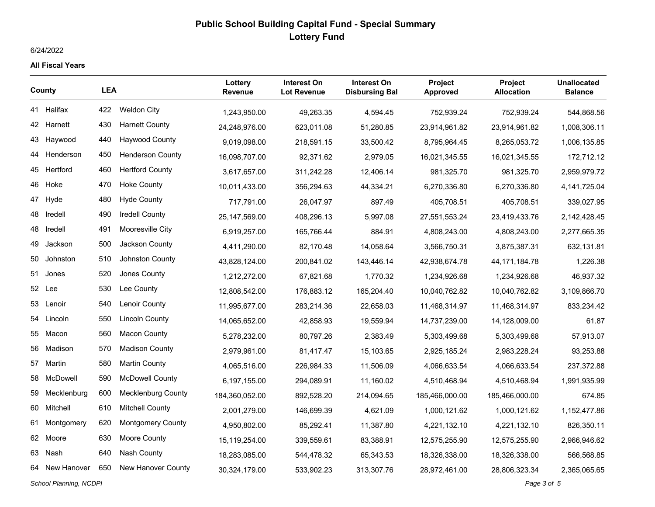### 6/24/2022

#### **All Fiscal Years**

| County                                |                | <b>LEA</b> |                           | Lottery<br><b>Revenue</b> | <b>Interest On</b><br><b>Lot Revenue</b> | Interest On<br><b>Disbursing Bal</b> | <b>Project</b><br><b>Approved</b> | <b>Project</b><br><b>Allocation</b> | <b>Unallocated</b><br><b>Balance</b> |
|---------------------------------------|----------------|------------|---------------------------|---------------------------|------------------------------------------|--------------------------------------|-----------------------------------|-------------------------------------|--------------------------------------|
|                                       | 41 Halifax     | 422        | <b>Weldon City</b>        | 1,243,950.00              | 49,263.35                                | 4,594.45                             | 752,939.24                        | 752,939.24                          | 544,868.56                           |
|                                       | 42 Harnett     | 430        | <b>Harnett County</b>     | 24,248,976.00             | 623.011.08                               | 51.280.85                            | 23,914,961.82                     | 23,914,961.82                       | 1,008,306.11                         |
| 43.                                   | Haywood        | 440        | <b>Haywood County</b>     | 9,019,098.00              | 218,591.15                               | 33,500.42                            | 8,795,964.45                      | 8,265,053.72                        | 1,006,135.85                         |
| 44                                    | Henderson      | 450        | <b>Henderson County</b>   | 16,098,707.00             | 92,371.62                                | 2,979.05                             | 16,021,345.55                     | 16,021,345.55                       | 172,712.12                           |
|                                       | 45 Hertford    | 460        | <b>Hertford County</b>    | 3,617,657.00              | 311,242.28                               | 12,406.14                            | 981,325.70                        | 981,325.70                          | 2,959,979.72                         |
| 46                                    | Hoke           | 470        | <b>Hoke County</b>        | 10,011,433.00             | 356,294.63                               | 44,334.21                            | 6,270,336.80                      | 6,270,336.80                        | 4,141,725.04                         |
| 47                                    | Hyde           | 480        | <b>Hyde County</b>        | 717,791.00                | 26,047.97                                | 897.49                               | 405,708.51                        | 405,708.51                          | 339,027.95                           |
| 48                                    | Iredell        | 490        | <b>Iredell County</b>     | 25, 147, 569.00           | 408,296.13                               | 5,997.08                             | 27,551,553.24                     | 23,419,433.76                       | 2,142,428.45                         |
| 48                                    | Iredell        | 491        | Mooresville City          | 6,919,257.00              | 165,766.44                               | 884.91                               | 4,808,243.00                      | 4,808,243.00                        | 2,277,665.35                         |
| 49                                    | Jackson        | 500        | Jackson County            | 4,411,290.00              | 82,170.48                                | 14,058.64                            | 3,566,750.31                      | 3,875,387.31                        | 632,131.81                           |
| 50                                    | Johnston       | 510        | Johnston County           | 43,828,124.00             | 200,841.02                               | 143,446.14                           | 42,938,674.78                     | 44, 171, 184. 78                    | 1,226.38                             |
| 51                                    | Jones          | 520        | Jones County              | 1,212,272.00              | 67,821.68                                | 1,770.32                             | 1,234,926.68                      | 1,234,926.68                        | 46,937.32                            |
|                                       | 52 Lee         | 530        | Lee County                | 12,808,542.00             | 176,883.12                               | 165.204.40                           | 10,040,762.82                     | 10,040,762.82                       | 3,109,866.70                         |
|                                       | 53 Lenoir      | 540        | Lenoir County             | 11,995,677.00             | 283,214.36                               | 22,658.03                            | 11,468,314.97                     | 11,468,314.97                       | 833,234.42                           |
|                                       | 54 Lincoln     | 550        | <b>Lincoln County</b>     | 14,065,652.00             | 42,858.93                                | 19,559.94                            | 14,737,239.00                     | 14,128,009.00                       | 61.87                                |
| 55                                    | Macon          | 560        | <b>Macon County</b>       | 5,278,232.00              | 80,797.26                                | 2,383.49                             | 5,303,499.68                      | 5,303,499.68                        | 57,913.07                            |
| 56                                    | Madison        | 570        | <b>Madison County</b>     | 2,979,961.00              | 81,417.47                                | 15,103.65                            | 2,925,185.24                      | 2,983,228.24                        | 93,253.88                            |
|                                       | 57 Martin      | 580        | <b>Martin County</b>      | 4,065,516.00              | 226,984.33                               | 11,506.09                            | 4,066,633.54                      | 4,066,633.54                        | 237,372.88                           |
| 58                                    | McDowell       | 590        | <b>McDowell County</b>    | 6,197,155.00              | 294,089.91                               | 11,160.02                            | 4,510,468.94                      | 4,510,468.94                        | 1,991,935.99                         |
| 59                                    | Mecklenburg    | 600        | <b>Mecklenburg County</b> | 184,360,052.00            | 892,528.20                               | 214,094.65                           | 185,466,000.00                    | 185,466,000.00                      | 674.85                               |
| 60                                    | Mitchell       | 610        | <b>Mitchell County</b>    | 2,001,279.00              | 146,699.39                               | 4,621.09                             | 1,000,121.62                      | 1,000,121.62                        | 1,152,477.86                         |
| 61                                    | Montgomery     | 620        | <b>Montgomery County</b>  | 4,950,802.00              | 85,292.41                                | 11,387.80                            | 4,221,132.10                      | 4,221,132.10                        | 826,350.11                           |
| 62                                    | Moore          | 630        | Moore County              | 15,119,254.00             | 339,559.61                               | 83,388.91                            | 12,575,255.90                     | 12,575,255.90                       | 2,966,946.62                         |
| 63                                    | Nash           | 640        | Nash County               | 18,283,085.00             | 544,478.32                               | 65,343.53                            | 18,326,338.00                     | 18,326,338.00                       | 566,568.85                           |
|                                       | 64 New Hanover | 650        | New Hanover County        | 30,324,179.00             | 533,902.23                               | 313,307.76                           | 28,972,461.00                     | 28,806,323.34                       | 2,365,065.65                         |
| School Planning, NCDPI<br>Page 3 of 5 |                |            |                           |                           |                                          |                                      |                                   |                                     |                                      |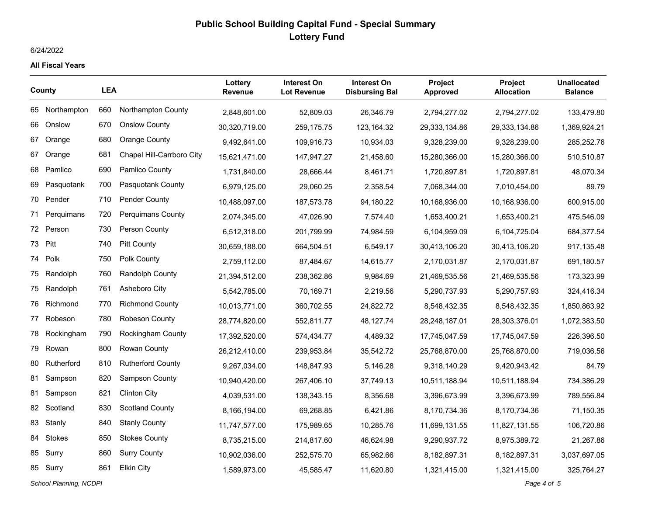### 6/24/2022

#### **All Fiscal Years**

| County |                | <b>LEA</b> |                           | Lottery<br><b>Revenue</b> | Interest On<br><b>Lot Revenue</b> | <b>Interest On</b><br><b>Disbursing Bal</b> | <b>Project</b><br><b>Approved</b> | <b>Project</b><br><b>Allocation</b> | <b>Unallocated</b><br><b>Balance</b> |
|--------|----------------|------------|---------------------------|---------------------------|-----------------------------------|---------------------------------------------|-----------------------------------|-------------------------------------|--------------------------------------|
|        | 65 Northampton | 660        | Northampton County        | 2,848,601.00              | 52,809.03                         | 26,346.79                                   | 2,794,277.02                      | 2,794,277.02                        | 133,479.80                           |
| 66     | Onslow         | 670        | <b>Onslow County</b>      | 30,320,719.00             | 259,175.75                        | 123,164.32                                  | 29,333,134.86                     | 29,333,134.86                       | 1,369,924.21                         |
| 67     | Orange         | 680        | <b>Orange County</b>      | 9,492,641.00              | 109,916.73                        | 10,934.03                                   | 9,328,239.00                      | 9,328,239.00                        | 285,252.76                           |
| 67     | Orange         | 681        | Chapel Hill-Carrboro City | 15,621,471.00             | 147,947.27                        | 21,458.60                                   | 15,280,366.00                     | 15,280,366.00                       | 510,510.87                           |
| 68     | Pamlico        | 690        | Pamlico County            | 1,731,840.00              | 28,666.44                         | 8,461.71                                    | 1,720,897.81                      | 1,720,897.81                        | 48,070.34                            |
| 69     | Pasquotank     | 700        | Pasquotank County         | 6,979,125.00              | 29,060.25                         | 2,358.54                                    | 7,068,344.00                      | 7,010,454.00                        | 89.79                                |
|        | 70 Pender      | 710        | <b>Pender County</b>      | 10,488,097.00             | 187,573.78                        | 94,180.22                                   | 10,168,936.00                     | 10,168,936.00                       | 600,915.00                           |
| 71     | Perquimans     | 720        | <b>Perquimans County</b>  | 2,074,345.00              | 47,026.90                         | 7,574.40                                    | 1,653,400.21                      | 1,653,400.21                        | 475,546.09                           |
|        | 72 Person      | 730        | Person County             | 6,512,318.00              | 201,799.99                        | 74,984.59                                   | 6,104,959.09                      | 6,104,725.04                        | 684,377.54                           |
|        | 73 Pitt        | 740        | <b>Pitt County</b>        | 30,659,188.00             | 664,504.51                        | 6,549.17                                    | 30,413,106.20                     | 30,413,106.20                       | 917, 135.48                          |
|        | 74 Polk        | 750        | Polk County               | 2,759,112.00              | 87,484.67                         | 14,615.77                                   | 2,170,031.87                      | 2,170,031.87                        | 691,180.57                           |
|        | 75 Randolph    | 760        | <b>Randolph County</b>    | 21,394,512.00             | 238,362.86                        | 9,984.69                                    | 21,469,535.56                     | 21,469,535.56                       | 173,323.99                           |
| 75     | Randolph       | 761        | Asheboro City             | 5,542,785.00              | 70,169.71                         | 2,219.56                                    | 5,290,737.93                      | 5,290,757.93                        | 324,416.34                           |
|        | 76 Richmond    | 770        | <b>Richmond County</b>    | 10,013,771.00             | 360,702.55                        | 24,822.72                                   | 8,548,432.35                      | 8,548,432.35                        | 1,850,863.92                         |
|        | 77 Robeson     | 780        | Robeson County            | 28,774,820.00             | 552,811.77                        | 48,127.74                                   | 28,248,187.01                     | 28,303,376.01                       | 1,072,383.50                         |
| 78     | Rockingham     | 790        | <b>Rockingham County</b>  | 17,392,520.00             | 574,434.77                        | 4,489.32                                    | 17,745,047.59                     | 17,745,047.59                       | 226,396.50                           |
| 79     | Rowan          | 800        | Rowan County              | 26,212,410.00             | 239,953.84                        | 35,542.72                                   | 25,768,870.00                     | 25,768,870.00                       | 719,036.56                           |
| 80     | Rutherford     | 810        | <b>Rutherford County</b>  | 9,267,034.00              | 148,847.93                        | 5,146.28                                    | 9,318,140.29                      | 9,420,943.42                        | 84.79                                |
| 81     | Sampson        | 820        | <b>Sampson County</b>     | 10,940,420.00             | 267,406.10                        | 37,749.13                                   | 10,511,188.94                     | 10,511,188.94                       | 734,386.29                           |
|        | 81 Sampson     | 821        | <b>Clinton City</b>       | 4,039,531.00              | 138,343.15                        | 8,356.68                                    | 3,396,673.99                      | 3,396,673.99                        | 789,556.84                           |
|        | 82 Scotland    | 830        | <b>Scotland County</b>    | 8,166,194.00              | 69,268.85                         | 6,421.86                                    | 8,170,734.36                      | 8,170,734.36                        | 71,150.35                            |
| 83     | Stanly         | 840        | <b>Stanly County</b>      | 11,747,577.00             | 175,989.65                        | 10,285.76                                   | 11,699,131.55                     | 11,827,131.55                       | 106,720.86                           |
|        | 84 Stokes      | 850        | <b>Stokes County</b>      | 8,735,215.00              | 214,817.60                        | 46,624.98                                   | 9,290,937.72                      | 8,975,389.72                        | 21,267.86                            |
|        | 85 Surry       | 860        | <b>Surry County</b>       | 10,902,036.00             | 252,575.70                        | 65,982.66                                   | 8,182,897.31                      | 8,182,897.31                        | 3,037,697.05                         |
|        | 85 Surry       | 861        | <b>Elkin City</b>         | 1,589,973.00              | 45,585.47                         | 11,620.80                                   | 1,321,415.00                      | 1,321,415.00                        | 325,764.27                           |

*School Planning, NCDPI Page 4 of 5*